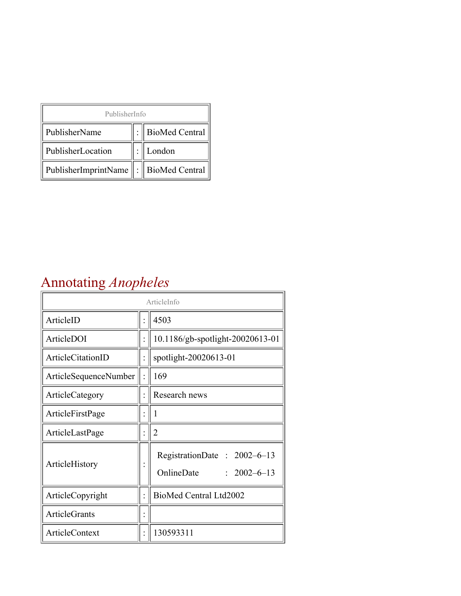| PublisherInfo                         |  |                    |  |  |
|---------------------------------------|--|--------------------|--|--|
| PublisherName                         |  | :   BioMed Central |  |  |
| PublisherLocation                     |  | London             |  |  |
| PublisherImprintName : BioMed Central |  |                    |  |  |

## Annotating *Anopheles*

| ArticleInfo           |  |                                                                |
|-----------------------|--|----------------------------------------------------------------|
| ArticleID             |  | 4503                                                           |
| ArticleDOI            |  | 10.1186/gb-spotlight-20020613-01                               |
| ArticleCitationID     |  | spotlight-20020613-01                                          |
| ArticleSequenceNumber |  | 169                                                            |
| ArticleCategory       |  | Research news                                                  |
| ArticleFirstPage      |  | 1                                                              |
| ArticleLastPage       |  | $\overline{2}$                                                 |
| ArticleHistory        |  | RegistrationDate: 2002-6-13<br>OnlineDate<br>$: 2002 - 6 - 13$ |
| ArticleCopyright      |  | BioMed Central Ltd2002                                         |
| <b>ArticleGrants</b>  |  |                                                                |
| ArticleContext        |  | 130593311                                                      |